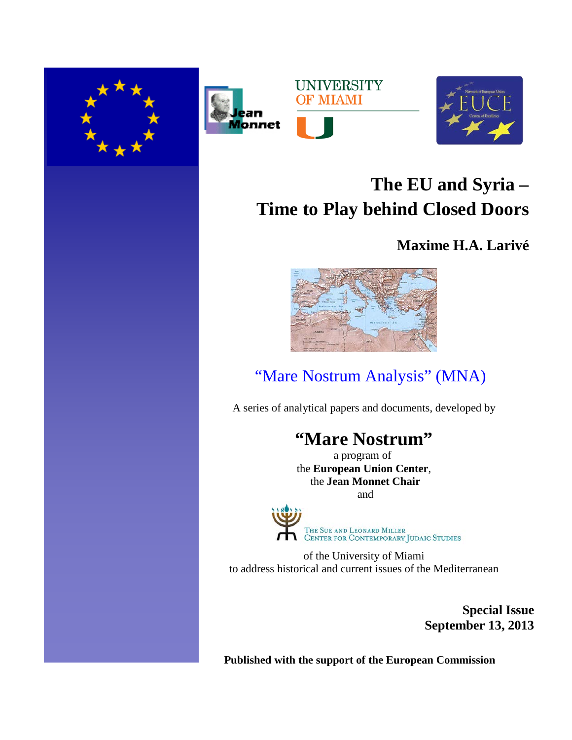







# **The EU and Syria – Time to Play behind Closed Doors**

## **Maxime H.A. Larivé**



## **"Mare Nostrum Analysis" (MNA)**

A series of analytical papers and documents, developed by

## **"Mare Nostrum"**

a program of the **European Union Center**, the **Jean Monnet Chair** and



of the University of Miami to address historical and current issues of the Mediterranean

> **Special Issue September 13, 2013**

**Published with the support of the European Commission**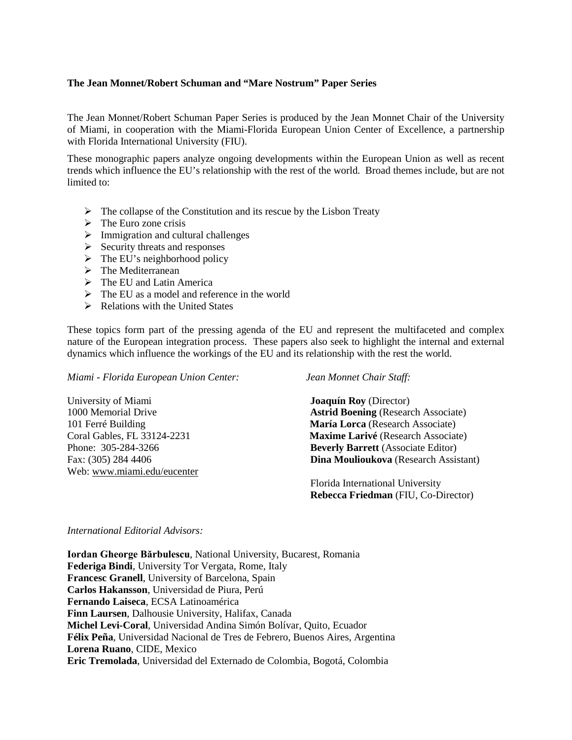### **The Jean Monnet/Robert Schuman and "Mare Nostrum" Paper Series**

The Jean Monnet/Robert Schuman Paper Series is produced by the Jean Monnet Chair of the University of Miami, in cooperation with the Miami-Florida European Union Center of Excellence, a partnership with Florida International University (FIU).

These monographic papers analyze ongoing developments within the European Union as well as recent trends which influence the EU's relationship with the rest of the world. Broad themes include, but are not limited to:

- $\triangleright$  The collapse of the Constitution and its rescue by the Lisbon Treaty
- $\triangleright$  The Euro zone crisis
- $\triangleright$  Immigration and cultural challenges
- $\triangleright$  Security threats and responses
- $\triangleright$  The EU's neighborhood policy
- $\triangleright$  The Mediterranean
- $\triangleright$  The EU and Latin America
- $\triangleright$  The EU as a model and reference in the world
- $\triangleright$  Relations with the United States

These topics form part of the pressing agenda of the EU and represent the multifaceted and complex nature of the European integration process. These papers also seek to highlight the internal and external dynamics which influence the workings of the EU and its relationship with the rest the world.

*Miami - Florida European Union Center: Jean Monnet Chair Staff:*

Web: [www.miami.edu/eucenter](http://www.miami.edu/eucenter) 

University of Miami **Joaquín Roy** (Director) 1000 Memorial Drive **Astrid Boening** (Research Associate) 101 Ferré Building **María Lorca** (Research Associate) Coral Gables, FL 33124-2231 **Maxime Larivé** (Research Associate) Phone: 305-284-3266 **Beverly Barrett** (Associate Editor) Fax: (305) 284 4406 **Dina Moulioukova** (Research Assistant)

> Florida International University  **Rebecca Friedman** (FIU, Co-Director)

### *International Editorial Advisors:*

**Iordan Gheorge Bărbulescu**, National University, Bucarest, Romania **Federiga Bindi**, University Tor Vergata, Rome, Italy **Francesc Granell**, University of Barcelona, Spain **Carlos Hakansson**, Universidad de Piura, Perú **Fernando Laiseca**, ECSA Latinoamérica **Finn Laursen**, Dalhousie University, Halifax, Canada **Michel Levi-Coral**, Universidad Andina Simón Bolívar, Quito, Ecuador **Félix Peña**, Universidad Nacional de Tres de Febrero, Buenos Aires, Argentina **Lorena Ruano**, CIDE, Mexico **Eric Tremolada**, Universidad del Externado de Colombia, Bogotá, Colombia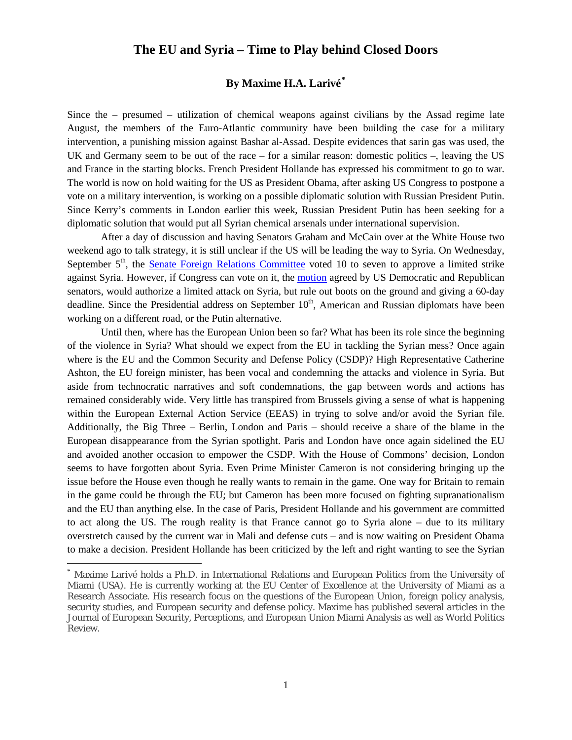## **The EU and Syria – Time to Play behind Closed Doors**

## **By Maxime H.A. Larivé[\\*](#page-2-0)**

Since the – presumed – utilization of chemical weapons against civilians by the Assad regime late August, the members of the Euro-Atlantic community have been building the case for a military intervention, a punishing mission against Bashar al-Assad. Despite evidences that sarin gas was used, the UK and Germany seem to be out of the race – for a similar reason: domestic politics –, leaving the US and France in the starting blocks. French President Hollande has expressed his commitment to go to war. The world is now on hold waiting for the US as President Obama, after asking US Congress to postpone a vote on a military intervention, is working on a possible diplomatic solution with Russian President Putin. Since Kerry's comments in London earlier this week, Russian President Putin has been seeking for a diplomatic solution that would put all Syrian chemical arsenals under international supervision.

After a day of discussion and having Senators Graham and McCain over at the White House two weekend ago to talk strategy, it is still unclear if the US will be leading the way to Syria. On Wednesday, September 5<sup>th</sup>, the [Senate Foreign Relations Committee](http://www.foreign.senate.gov/hearings/the-authorization-of-use-of-force-in-syria) voted 10 to seven to approve a limited strike against Syria. However, if Congress can vote on it, the [motion](http://www.ft.com/intl/cms/s/0/53ca530e-1531-11e3-b519-00144feabdc0.html?siteedition=intl#axzz2e1CuJxCq) agreed by US Democratic and Republican senators, would authorize a limited attack on Syria, but rule out boots on the ground and giving a 60-day deadline. Since the Presidential address on September 10<sup>th</sup>, American and Russian diplomats have been working on a different road, or the Putin alternative.

Until then, where has the European Union been so far? What has been its role since the beginning of the violence in Syria? What should we expect from the EU in tackling the Syrian mess? Once again where is the EU and the Common Security and Defense Policy (CSDP)? High Representative Catherine Ashton, the EU foreign minister, has been vocal and condemning the attacks and violence in Syria. But aside from technocratic narratives and soft condemnations, the gap between words and actions has remained considerably wide. Very little has transpired from Brussels giving a sense of what is happening within the European External Action Service (EEAS) in trying to solve and/or avoid the Syrian file. Additionally, the Big Three – Berlin, London and Paris – should receive a share of the blame in the European disappearance from the Syrian spotlight. Paris and London have once again sidelined the EU and avoided another occasion to empower the CSDP. With the House of Commons' decision, London seems to have forgotten about Syria. Even Prime Minister Cameron is not considering bringing up the issue before the House even though he really wants to remain in the game. One way for Britain to remain in the game could be through the EU; but Cameron has been more focused on fighting supranationalism and the EU than anything else. In the case of Paris, President Hollande and his government are committed to act along the US. The rough reality is that France cannot go to Syria alone – due to its military overstretch caused by the current war in Mali and defense cuts – and is now waiting on President Obama to make a decision. President Hollande has been criticized by the left and right wanting to see the Syrian

<span id="page-2-0"></span>Maxime Larivé holds a Ph.D. in International Relations and European Politics from the University of Miami (USA). He is currently working at the EU Center of Excellence at the University of Miami as a Research Associate. His research focus on the questions of the European Union, foreign policy analysis, security studies, and European security and defense policy. Maxime has published several articles in the Journal of European Security, Perceptions, and European Union Miami Analysis as well as World Politics Review.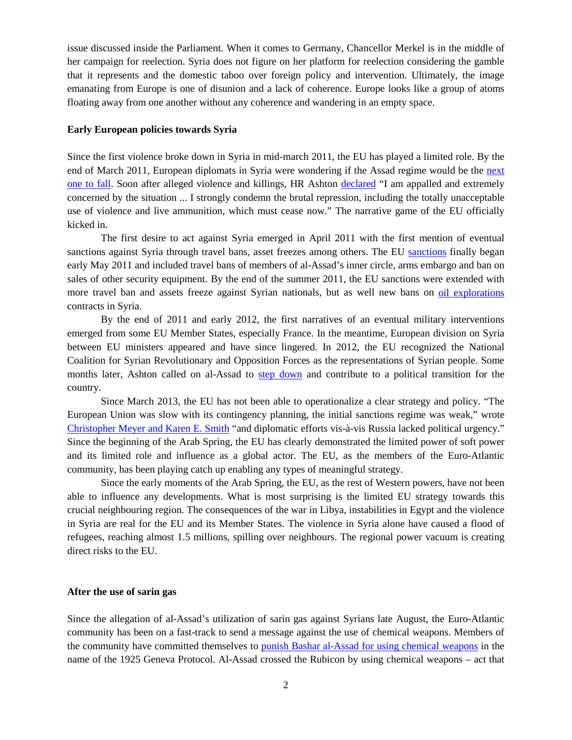issue discussed inside the Parliament. When it comes to Germany, Chancellor Merkel is in the middle of her campaign for reelection. Syria does not figure on her platform for reelection considering the gamble that it represents and the domestic taboo over foreign policy and intervention. Ultimately, the image emanating from Europe is one of disunion and a lack of coherence. Europe looks like a group of atoms floating away from one another without any coherence and wandering in an empty space.

### **Early European policies towards Syria**

Since the first violence broke down in Syria in mid-march 2011, the EU has played a limited role. By the end of March 2011, European diplomats in Syria were wondering if the Assad regime would be the [next](http://euobserver.com/foreign/32056)  [one to fall.](http://euobserver.com/foreign/32056) Soon after alleged violence and killings, HR Ashton [declared](http://euobserver.com/foreign/32078) "I am appalled and extremely concerned by the situation ... I strongly condemn the brutal repression, including the totally unacceptable use of violence and live ammunition, which must cease now." The narrative game of the EU officially kicked in.

The first desire to act against Syria emerged in April 2011 with the first mention of eventual sanctions against Syria through travel bans, asset freezes among others. The EU [sanctions](http://euobserver.com/foreign/32295) finally began early May 2011 and included travel bans of members of al-Assad's inner circle, arms embargo and ban on sales of other security equipment. By the end of the summer 2011, the EU sanctions were extended with more travel ban and assets freeze against Syrian nationals, but as well new bans on [oil explorations](http://euobserver.com/tickers/113727) contracts in Syria.

By the end of 2011 and early 2012, the first narratives of an eventual military interventions emerged from some EU Member States, especially France. In the meantime, European division on Syria between EU ministers appeared and have since lingered. In 2012, the EU recognized the National Coalition for Syrian Revolutionary and Opposition Forces as the representations of Syrian people. Some months later, Ashton called on al-Assad to [step down](http://euobserver.com/tickers/118645) and contribute to a political transition for the country.

Since March 2013, the EU has not been able to operationalize a clear strategy and policy. "The European Union was slow with its contingency planning, the initial sanctions regime was weak," wrote [Christopher Meyer and Karen E. Smith](http://euobserver.com/opinion/121114) "and diplomatic efforts vis-à-vis Russia lacked political urgency." Since the beginning of the Arab Spring, the EU has clearly demonstrated the limited power of soft power and its limited role and influence as a global actor. The EU, as the members of the Euro-Atlantic community, has been playing catch up enabling any types of meaningful strategy.

Since the early moments of the Arab Spring, the EU, as the rest of Western powers, have not been able to influence any developments. What is most surprising is the limited EU strategy towards this crucial neighbouring region. The consequences of the war in Libya, instabilities in Egypt and the violence in Syria are real for the EU and its Member States. The violence in Syria alone have caused a flood of refugees, reaching almost 1.5 millions, spilling over neighbours. The regional power vacuum is creating direct risks to the EU.

### **After the use of sarin gas**

Since the allegation of al-Assad's utilization of sarin gas against Syrians late August, the Euro-Atlantic community has been on a fast-track to send a message against the use of chemical weapons. Members of the community have committed themselves to [punish Bashar al-Assad for using chemical weapons](http://foreignpolicyblogs.com/2013/09/02/the-shadow-of-iraq/) in the name of the 1925 Geneva Protocol. Al-Assad crossed the Rubicon by using chemical weapons – act that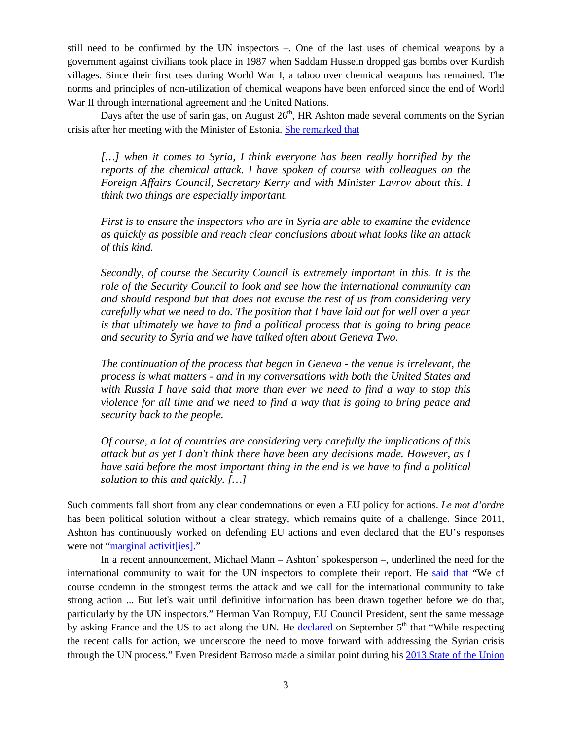still need to be confirmed by the UN inspectors –. One of the last uses of chemical weapons by a government against civilians took place in 1987 when Saddam Hussein dropped gas bombs over Kurdish villages. Since their first uses during World War I, a taboo over chemical weapons has remained. The norms and principles of non-utilization of chemical weapons have been enforced since the end of World War II through international agreement and the United Nations.

Days after the use of sarin gas, on August  $26<sup>th</sup>$ , HR Ashton made several comments on the Syrian crisis after her meeting with the Minister of Estonia. [She remarked that](http://www.eu-un.europa.eu/articles/en/article_13882_en.htm)

*[…] when it comes to Syria, I think everyone has been really horrified by the reports of the chemical attack. I have spoken of course with colleagues on the Foreign Affairs Council, Secretary Kerry and with Minister Lavrov about this. I think two things are especially important.*

*First is to ensure the inspectors who are in Syria are able to examine the evidence as quickly as possible and reach clear conclusions about what looks like an attack of this kind.*

*Secondly, of course the Security Council is extremely important in this. It is the role of the Security Council to look and see how the international community can and should respond but that does not excuse the rest of us from considering very carefully what we need to do. The position that I have laid out for well over a year is that ultimately we have to find a political process that is going to bring peace and security to Syria and we have talked often about Geneva Two.*

*The continuation of the process that began in Geneva - the venue is irrelevant, the process is what matters - and in my conversations with both the United States and with Russia I have said that more than ever we need to find a way to stop this violence for all time and we need to find a way that is going to bring peace and security back to the people.*

*Of course, a lot of countries are considering very carefully the implications of this attack but as yet I don't think there have been any decisions made. However, as I have said before the most important thing in the end is we have to find a political solution to this and quickly. […]*

Such comments fall short from any clear condemnations or even a EU policy for actions. *Le mot d'ordre* has been political solution without a clear strategy, which remains quite of a challenge. Since 2011, Ashton has continuously worked on defending EU actions and even declared that the EU's responses were not ["marginal activit\[ies\].](http://euobserver.com/foreign/32352)"

In a recent announcement, Michael Mann – Ashton' spokesperson –, underlined the need for the international community to wait for the UN inspectors to complete their report. He [said that](http://en.trend.az/regions/met/arabicr/2185580.html) "We of course condemn in the strongest terms the attack and we call for the international community to take strong action ... But let's wait until definitive information has been drawn together before we do that, particularly by the UN inspectors." Herman Van Rompuy, EU Council President, sent the same message by asking France and the US to act along the UN. He [declared](http://euobserver.com/foreign/121330) on September 5<sup>th</sup> that "While respecting the recent calls for action, we underscore the need to move forward with addressing the Syrian crisis through the UN process." Even President Barroso made a similar point during his [2013 State of the Union](http://europa.eu/rapid/press-release_SPEECH-13-684_en.htm)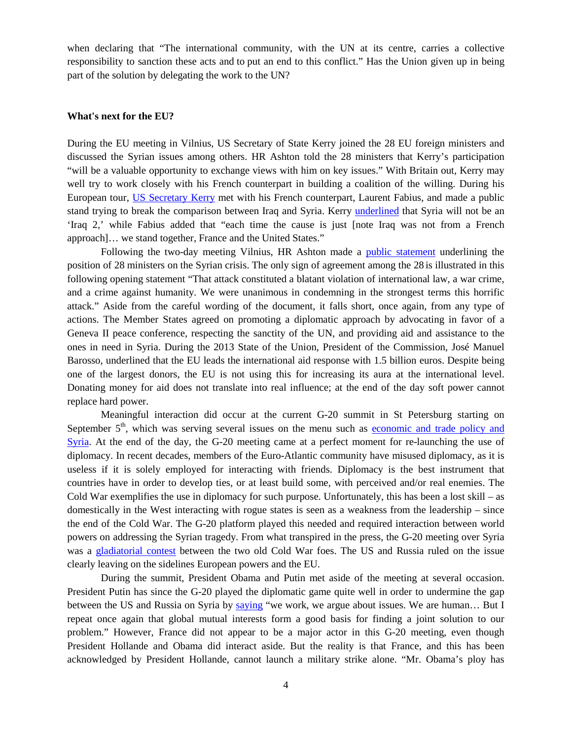when declaring that "The international community, with the UN at its centre, carries a collective responsibility to sanction these acts and to put an end to this conflict." Has the Union given up in being part of the solution by delegating the work to the UN?

#### **What's next for the EU?**

During the EU meeting in Vilnius, US Secretary of State Kerry joined the 28 EU foreign ministers and discussed the Syrian issues among others. HR Ashton told the 28 ministers that Kerry's participation "will be a valuable opportunity to exchange views with him on key issues." With Britain out, Kerry may well try to work closely with his French counterpart in building a coalition of the willing. During his European tour, [US Secretary Kerry](http://www.euractiv.com/global-europe/john-kerry-attend-eu-ministerial-news-530275?utm_source=EurActiv%20Newsletter&utm_campaign=6ba0df6ea8-newsletter_daily_update&utm_medium=email&utm_term=0_bab5f0ea4e-6ba0df6ea8-245317957) met with his French counterpart, Laurent Fabius, and made a public stand trying to break the comparison between Iraq and Syria. Kerry *underlined* that Syria will not be an 'Iraq 2,' while Fabius added that "each time the cause is just [note Iraq was not from a French approach]… we stand together, France and the United States."

Following the two-day meeting Vilnius, HR Ashton made a [public statement](http://www.consilium.europa.eu/uedocs/cms_data/docs/pressdata/EN/foraff/138691.pdf) underlining the position of 28 ministers on the Syrian crisis. The only sign of agreement among the 28 is illustrated in this following opening statement "That attack constituted a blatant violation of international law, a war crime, and a crime against humanity. We were unanimous in condemning in the strongest terms this horrific attack." Aside from the careful wording of the document, it falls short, once again, from any type of actions. The Member States agreed on promoting a diplomatic approach by advocating in favor of a Geneva II peace conference, respecting the sanctity of the UN, and providing aid and assistance to the ones in need in Syria. During the 2013 State of the Union, President of the Commission, José Manuel Barosso, underlined that the EU leads the international aid response with 1.5 billion euros. Despite being one of the largest donors, the EU is not using this for increasing its aura at the international level. Donating money for aid does not translate into real influence; at the end of the day soft power cannot replace hard power.

Meaningful interaction did occur at the current G-20 summit in St Petersburg starting on September  $5<sup>th</sup>$ , which was serving several issues on the menu such as economic and trade policy and [Syria.](http://euobserver.com/agenda/121242) At the end of the day, the G-20 meeting came at a perfect moment for re-launching the use of diplomacy. In recent decades, members of the Euro-Atlantic community have misused diplomacy, as it is useless if it is solely employed for interacting with friends. Diplomacy is the best instrument that countries have in order to develop ties, or at least build some, with perceived and/or real enemies. The Cold War exemplifies the use in diplomacy for such purpose. Unfortunately, this has been a lost skill – as domestically in the West interacting with rogue states is seen as a weakness from the leadership – since the end of the Cold War. The G-20 platform played this needed and required interaction between world powers on addressing the Syrian tragedy. From what transpired in the press, the G-20 meeting over Syria was a [gladiatorial contest](http://www.bbc.co.uk/news/world-europe-23999009) between the two old Cold War foes. The US and Russia ruled on the issue clearly leaving on the sidelines European powers and the EU.

During the summit, President Obama and Putin met aside of the meeting at several occasion. President Putin has since the G-20 played the diplomatic game quite well in order to undermine the gap between the US and Russia on Syria by [saying](http://www.ft.com/intl/cms/s/0/03b49444-16c9-11e3-bced-00144feabdc0.html#axzz2e1CuJxCq) "we work, we argue about issues. We are human… But I repeat once again that global mutual interests form a good basis for finding a joint solution to our problem." However, France did not appear to be a major actor in this G-20 meeting, even though President Hollande and Obama did interact aside. But the reality is that France, and this has been acknowledged by President Hollande, cannot launch a military strike alone. "Mr. Obama's ploy has